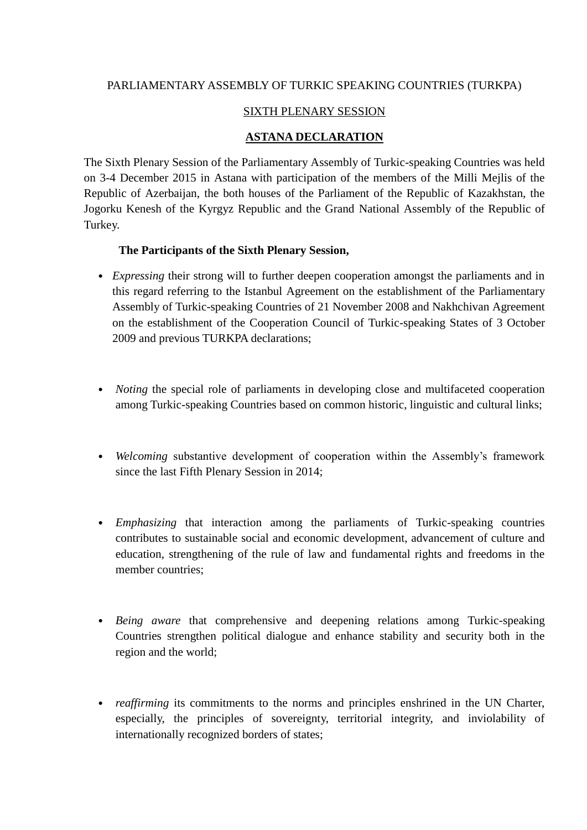# PARLIAMENTARY ASSEMBLY OF TURKIC SPEAKING COUNTRIES (TURKPA)

## SIXTH PLENARY SESSION

## **ASTANA DECLARATION**

The Sixth Plenary Session of the Parliamentary Assembly of Turkic-speaking Countries was held on 3-4 December 2015 in Astana with participation of the members of the Milli Mejlis of the Republic of Azerbaijan, the both houses of the Parliament of the Republic of Kazakhstan, the Jogorku Kenesh of the Kyrgyz Republic and the Grand National Assembly of the Republic of Turkey.

#### **The Participants of the Sixth Plenary Session,**

- *Expressing* their strong will to further deepen cooperation amongst the parliaments and in this regard referring to the Istanbul Agreement on the establishment of the Parliamentary Assembly of Turkic-speaking Countries of 21 November 2008 and Nakhchivan Agreement on the establishment of the Cooperation Council of Turkic-speaking States of 3 October 2009 and previous TURKPA declarations;
- *Noting* the special role of parliaments in developing close and multifaceted cooperation among Turkic-speaking Countries based on common historic, linguistic and cultural links;
- *Welcoming* substantive development of cooperation within the Assembly's framework since the last Fifth Plenary Session in 2014;
- *Emphasizing* that interaction among the parliaments of Turkic-speaking countries contributes to sustainable social and economic development, advancement of culture and education, strengthening of the rule of law and fundamental rights and freedoms in the member countries;
- *Being aware* that comprehensive and deepening relations among Turkic-speaking Countries strengthen political dialogue and enhance stability and security both in the region and the world;
- *reaffirming* its commitments to the norms and principles enshrined in the UN Charter, especially, the principles of sovereignty, territorial integrity, and inviolability of internationally recognized borders of states;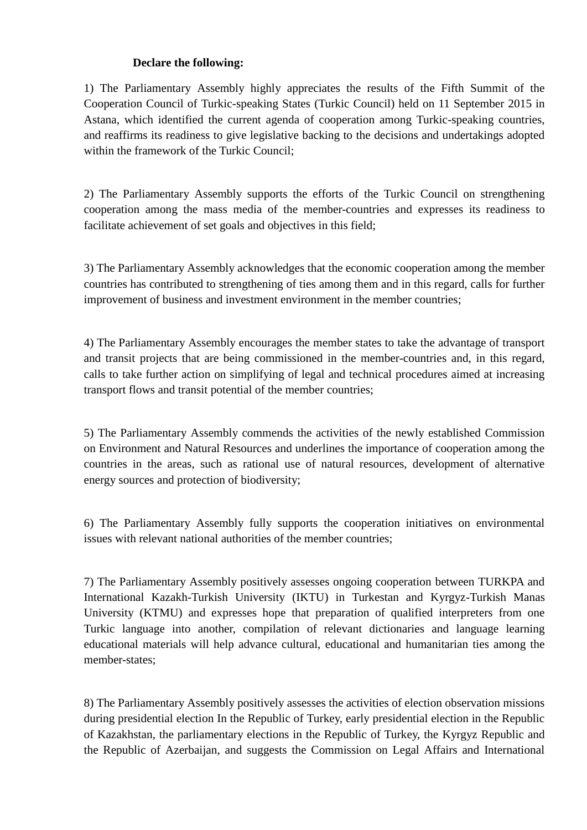## **Declare the following:**

1) The Parliamentary Assembly highly appreciates the results of the Fifth Summit of the Cooperation Council of Turkic-speaking States (Turkic Council) held on 11 September 2015 in Astana, which identified the current agenda of cooperation among Turkic-speaking countries, and reaffirms its readiness to give legislative backing to the decisions and undertakings adopted within the framework of the Turkic Council;

2) The Parliamentary Assembly supports the efforts of the Turkic Council on strengthening cooperation among the mass media of the member-countries and expresses its readiness to facilitate achievement of set goals and objectives in this field;

3) The Parliamentary Assembly acknowledges that the economic cooperation among the member countries has contributed to strengthening of ties among them and in this regard, calls for further improvement of business and investment environment in the member countries;

4) The Parliamentary Assembly encourages the member states to take the advantage of transport and transit projects that are being commissioned in the member-countries and, in this regard, calls to take further action on simplifying of legal and technical procedures aimed at increasing transport flows and transit potential of the member countries;

5) The Parliamentary Assembly commends the activities of the newly established Commission on Environment and Natural Resources and underlines the importance of cooperation among the countries in the areas, such as rational use of natural resources, development of alternative energy sources and protection of biodiversity;

6) The Parliamentary Assembly fully supports the cooperation initiatives on environmental issues with relevant national authorities of the member countries;

7) The Parliamentary Assembly positively assesses ongoing cooperation between TURKPA and International Kazakh-Turkish University (IKTU) in Turkestan and Kyrgyz-Turkish Manas University (KTMU) and expresses hope that preparation of qualified interpreters from one Turkic language into another, compilation of relevant dictionaries and language learning educational materials will help advance cultural, educational and humanitarian ties among the member-states;

8) The Parliamentary Assembly positively assesses the activities of election observation missions during presidential election In the Republic of Turkey, early presidential election in the Republic of Kazakhstan, the parliamentary elections in the Republic of Turkey, the Kyrgyz Republic and the Republic of Azerbaijan, and suggests the Commission on Legal Affairs and International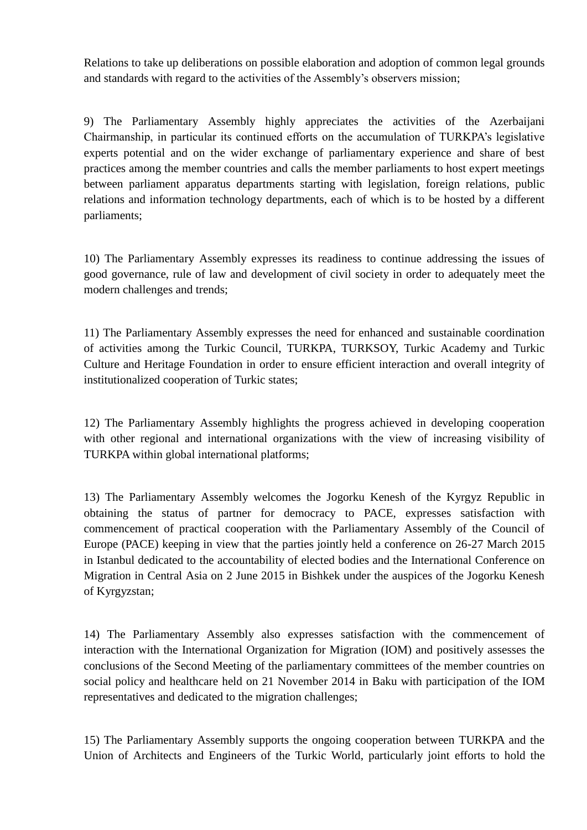Relations to take up deliberations on possible elaboration and adoption of common legal grounds and standards with regard to the activities of the Assembly's observers mission;

9) The Parliamentary Assembly highly appreciates the activities of the Azerbaijani Chairmanship, in particular its continued efforts on the accumulation of TURKPA's legislative experts potential and on the wider exchange of parliamentary experience and share of best practices among the member countries and calls the member parliaments to host expert meetings between parliament apparatus departments starting with legislation, foreign relations, public relations and information technology departments, each of which is to be hosted by a different parliaments;

10) The Parliamentary Assembly expresses its readiness to continue addressing the issues of good governance, rule of law and development of civil society in order to adequately meet the modern challenges and trends;

11) The Parliamentary Assembly expresses the need for enhanced and sustainable coordination of activities among the Turkic Council, TURKPA, TURKSOY, Turkic Academy and Turkic Culture and Heritage Foundation in order to ensure efficient interaction and overall integrity of institutionalized cooperation of Turkic states;

12) The Parliamentary Assembly highlights the progress achieved in developing cooperation with other regional and international organizations with the view of increasing visibility of TURKPA within global international platforms;

13) The Parliamentary Assembly welcomes the Jogorku Kenesh of the Kyrgyz Republic in obtaining the status of partner for democracy to PACE, expresses satisfaction with commencement of practical cooperation with the Parliamentary Assembly of the Council of Europe (PACE) keeping in view that the parties jointly held a conference on 26-27 March 2015 in Istanbul dedicated to the accountability of elected bodies and the International Conference on Migration in Central Asia on 2 June 2015 in Bishkek under the auspices of the Jogorku Kenesh of Kyrgyzstan;

14) The Parliamentary Assembly also expresses satisfaction with the commencement of interaction with the International Organization for Migration (IOM) and positively assesses the conclusions of the Second Meeting of the parliamentary committees of the member countries on social policy and healthcare held on 21 November 2014 in Baku with participation of the IOM representatives and dedicated to the migration challenges;

15) The Parliamentary Assembly supports the ongoing cooperation between TURKPA and the Union of Architects and Engineers of the Turkic World, particularly joint efforts to hold the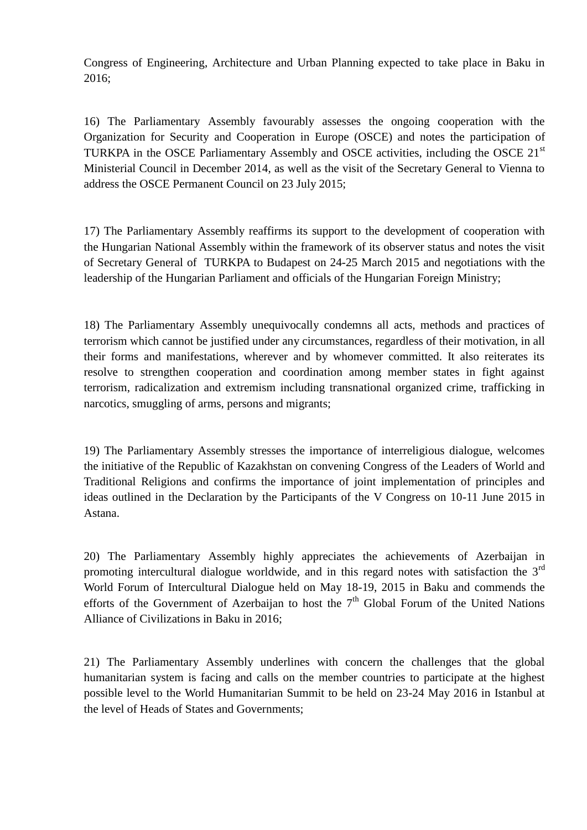Congress of Engineering, Architecture and Urban Planning expected to take place in Baku in 2016;

16) The Parliamentary Assembly favourably assesses the ongoing cooperation with the Organization for Security and Cooperation in Europe (OSCE) and notes the participation of TURKPA in the OSCE Parliamentary Assembly and OSCE activities, including the OSCE 21<sup>st</sup> Ministerial Council in December 2014, as well as the visit of the Secretary General to Vienna to address the OSCE Permanent Council on 23 July 2015;

17) The Parliamentary Assembly reaffirms its support to the development of cooperation with the Hungarian National Assembly within the framework of its observer status and notes the visit of Secretary General of TURKPA to Budapest on 24-25 March 2015 and negotiations with the leadership of the Hungarian Parliament and officials of the Hungarian Foreign Ministry;

18) The Parliamentary Assembly unequivocally condemns all acts, methods and practices of terrorism which cannot be justified under any circumstances, regardless of their motivation, in all their forms and manifestations, wherever and by whomever committed. It also reiterates its resolve to strengthen cooperation and coordination among member states in fight against terrorism, radicalization and extremism including transnational organized crime, trafficking in narcotics, smuggling of arms, persons and migrants;

19) The Parliamentary Assembly stresses the importance of interreligious dialogue, welcomes the initiative of the Republic of Kazakhstan on convening Congress of the Leaders of World and Traditional Religions and confirms the importance of joint implementation of principles and ideas outlined in the Declaration by the Participants of the V Congress on 10-11 June 2015 in Astana.

20) The Parliamentary Assembly highly appreciates the achievements of Azerbaijan in promoting intercultural dialogue worldwide, and in this regard notes with satisfaction the  $3<sup>rd</sup>$ World Forum of Intercultural Dialogue held on May 18-19, 2015 in Baku and commends the efforts of the Government of Azerbaijan to host the  $7<sup>th</sup>$  Global Forum of the United Nations Alliance of Civilizations in Baku in 2016;

21) The Parliamentary Assembly underlines with concern the challenges that the global humanitarian system is facing and calls on the member countries to participate at the highest possible level to the World Humanitarian Summit to be held on 23-24 May 2016 in Istanbul at the level of Heads of States and Governments;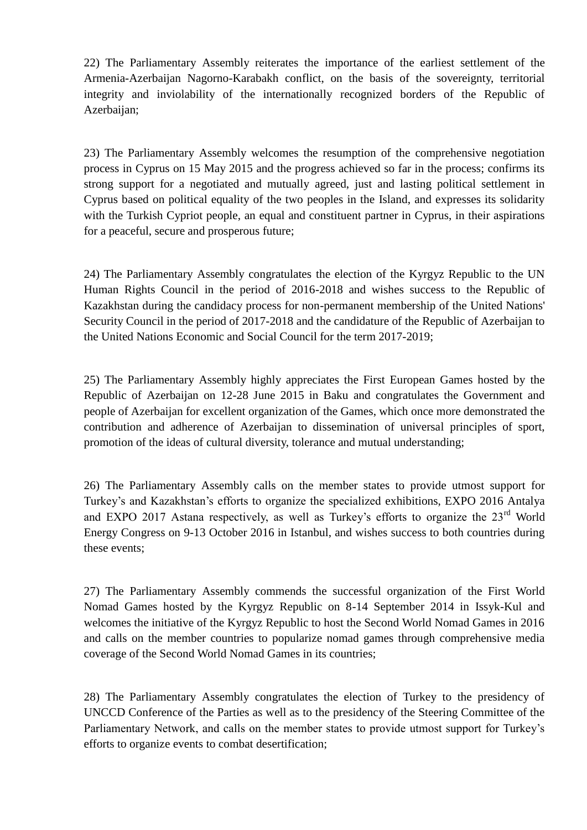22) The Parliamentary Assembly reiterates the importance of the earliest settlement of the Armenia-Azerbaijan Nagorno-Karabakh conflict, on the basis of the sovereignty, territorial integrity and inviolability of the internationally recognized borders of the Republic of Azerbaijan;

23) The Parliamentary Assembly welcomes the resumption of the comprehensive negotiation process in Cyprus on 15 May 2015 and the progress achieved so far in the process; confirms its strong support for a negotiated and mutually agreed, just and lasting political settlement in Cyprus based on political equality of the two peoples in the Island, and expresses its solidarity with the Turkish Cypriot people, an equal and constituent partner in Cyprus, in their aspirations for a peaceful, secure and prosperous future;

24) The Parliamentary Assembly congratulates the election of the Kyrgyz Republic to the UN Human Rights Council in the period of 2016-2018 and wishes success to the Republic of Kazakhstan during the candidacy process for non-permanent membership of the United Nations' Security Council in the period of 2017-2018 and the candidature of the Republic of Azerbaijan to the United Nations Economic and Social Council for the term 2017-2019;

25) The Parliamentary Assembly highly appreciates the First European Games hosted by the Republic of Azerbaijan on 12-28 June 2015 in Baku and congratulates the Government and people of Azerbaijan for excellent organization of the Games, which once more demonstrated the contribution and adherence of Azerbaijan to dissemination of universal principles of sport, promotion of the ideas of cultural diversity, tolerance and mutual understanding;

26) The Parliamentary Assembly calls on the member states to provide utmost support for Turkey's and Kazakhstan's efforts to organize the specialized exhibitions, EXPO 2016 Antalya and EXPO 2017 Astana respectively, as well as Turkey's efforts to organize the 23<sup>rd</sup> World Energy Congress on 9-13 October 2016 in Istanbul, and wishes success to both countries during these events;

27) The Parliamentary Assembly commends the successful organization of the First World Nomad Games hosted by the Kyrgyz Republic on 8-14 September 2014 in Issyk-Kul and welcomes the initiative of the Kyrgyz Republic to host the Second World Nomad Games in 2016 and calls on the member countries to popularize nomad games through comprehensive media coverage of the Second World Nomad Games in its countries;

28) The Parliamentary Assembly congratulates the election of Turkey to the presidency of UNCCD Conference of the Parties as well as to the presidency of the Steering Committee of the Parliamentary Network, and calls on the member states to provide utmost support for Turkey's efforts to organize events to combat desertification;